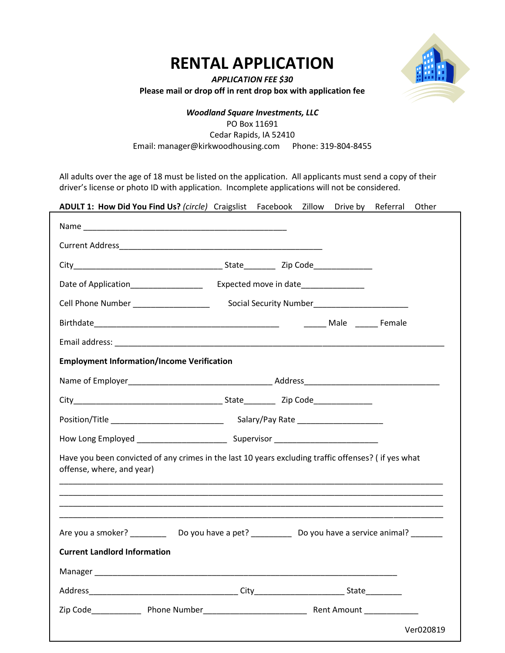## **RENTAL APPLICATION**



*APPLICATION FEE \$30* **Please mail or drop off in rent drop box with application fee**

## *Woodland Square Investments, LLC* PO Box 11691 Cedar Rapids, IA 52410 Email: manager@kirkwoodhousing.com Phone: 319-804-8455

All adults over the age of 18 must be listed on the application. All applicants must send a copy of their driver's license or photo ID with application. Incomplete applications will not be considered.

| ADULT 1: How Did You Find Us? (circle) Craigslist Facebook Zillow                                                                |                                      |  |  | Drive by | Referral | Other     |
|----------------------------------------------------------------------------------------------------------------------------------|--------------------------------------|--|--|----------|----------|-----------|
|                                                                                                                                  |                                      |  |  |          |          |           |
|                                                                                                                                  |                                      |  |  |          |          |           |
|                                                                                                                                  |                                      |  |  |          |          |           |
| Date of Application__________________                                                                                            | Expected move in date_______________ |  |  |          |          |           |
| Cell Phone Number ____________________                                                                                           |                                      |  |  |          |          |           |
|                                                                                                                                  |                                      |  |  |          |          |           |
|                                                                                                                                  |                                      |  |  |          |          |           |
| <b>Employment Information/Income Verification</b>                                                                                |                                      |  |  |          |          |           |
|                                                                                                                                  |                                      |  |  |          |          |           |
|                                                                                                                                  |                                      |  |  |          |          |           |
|                                                                                                                                  |                                      |  |  |          |          |           |
|                                                                                                                                  |                                      |  |  |          |          |           |
| Have you been convicted of any crimes in the last 10 years excluding traffic offenses? (if yes what<br>offense, where, and year) |                                      |  |  |          |          |           |
|                                                                                                                                  |                                      |  |  |          |          |           |
|                                                                                                                                  |                                      |  |  |          |          |           |
|                                                                                                                                  |                                      |  |  |          |          |           |
| Are you a smoker? ______________Do you have a pet? _______________Do you have a service animal? __________                       |                                      |  |  |          |          |           |
| <b>Current Landlord Information</b>                                                                                              |                                      |  |  |          |          |           |
| Manager_                                                                                                                         |                                      |  |  |          |          |           |
|                                                                                                                                  |                                      |  |  |          |          |           |
|                                                                                                                                  |                                      |  |  |          |          |           |
|                                                                                                                                  |                                      |  |  |          |          | Ver020819 |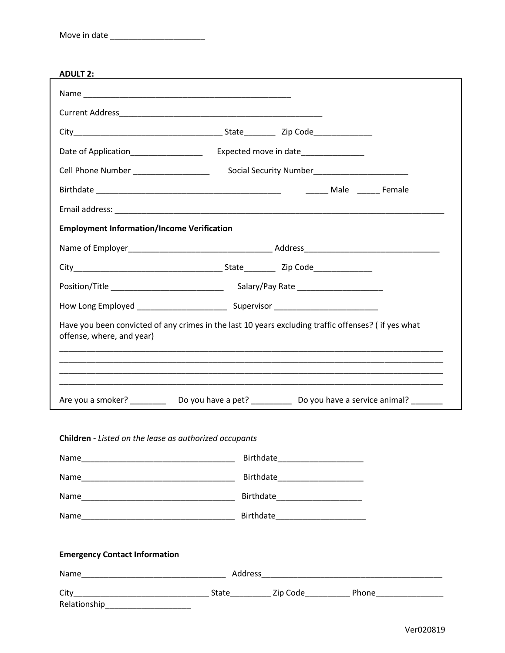| <b>ADULT</b> |
|--------------|
|--------------|

| ADULT 2:                                                                                                                         |  |                                |  |  |  |  |
|----------------------------------------------------------------------------------------------------------------------------------|--|--------------------------------|--|--|--|--|
|                                                                                                                                  |  |                                |  |  |  |  |
|                                                                                                                                  |  |                                |  |  |  |  |
|                                                                                                                                  |  |                                |  |  |  |  |
|                                                                                                                                  |  |                                |  |  |  |  |
| Cell Phone Number __________________                                                                                             |  |                                |  |  |  |  |
|                                                                                                                                  |  |                                |  |  |  |  |
|                                                                                                                                  |  |                                |  |  |  |  |
| <b>Employment Information/Income Verification</b>                                                                                |  |                                |  |  |  |  |
|                                                                                                                                  |  |                                |  |  |  |  |
|                                                                                                                                  |  |                                |  |  |  |  |
|                                                                                                                                  |  |                                |  |  |  |  |
|                                                                                                                                  |  |                                |  |  |  |  |
| Have you been convicted of any crimes in the last 10 years excluding traffic offenses? (if yes what<br>offense, where, and year) |  |                                |  |  |  |  |
|                                                                                                                                  |  |                                |  |  |  |  |
|                                                                                                                                  |  |                                |  |  |  |  |
| Are you a smoker? _______________Do you have a pet? ______________Do you have a service animal? __________                       |  |                                |  |  |  |  |
|                                                                                                                                  |  |                                |  |  |  |  |
| Children - Listed on the lease as authorized occupants                                                                           |  |                                |  |  |  |  |
|                                                                                                                                  |  |                                |  |  |  |  |
|                                                                                                                                  |  |                                |  |  |  |  |
|                                                                                                                                  |  | Birthdate_____________________ |  |  |  |  |
|                                                                                                                                  |  |                                |  |  |  |  |
|                                                                                                                                  |  |                                |  |  |  |  |
|                                                                                                                                  |  |                                |  |  |  |  |

## **Emergency Contact Information**

| Name         | Address |          |       |  |
|--------------|---------|----------|-------|--|
| City         | State   | Zip Code | Phone |  |
| Relationship |         |          |       |  |